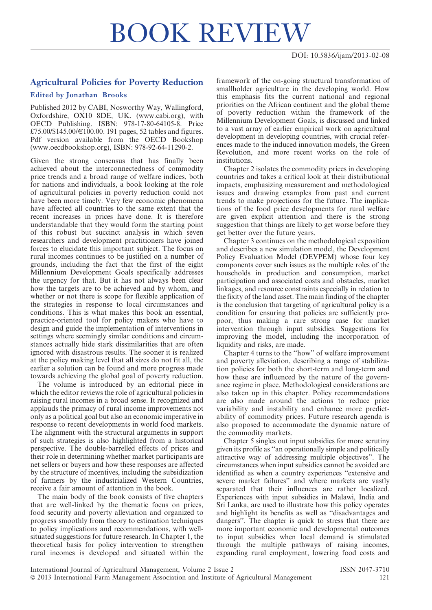## BOOK REVIEW

## Agricultural Policies for Poverty Reduction

## Edited by Jonathan Brooks

Published 2012 by CABI, Nosworthy Way, Wallingford, Oxfordshire, OX10 8DE, UK. (www.cabi.org), with OECD Publishing. ISBN: 978-17-80-64105-8. Price £75.00/\$145.00/€100.00. 191 pages, 52 tables and figures. Pdf version available from the OECD Bookshop (www.oecdbookshop.org), ISBN: 978-92-64-11290-2.

Given the strong consensus that has finally been achieved about the interconnectedness of commodity price trends and a broad range of welfare indices, both for nations and individuals, a book looking at the role of agricultural policies in poverty reduction could not have been more timely. Very few economic phenomena have affected all countries to the same extent that the recent increases in prices have done. It is therefore understandable that they would form the starting point of this robust but succinct analysis in which seven researchers and development practitioners have joined forces to elucidate this important subject. The focus on rural incomes continues to be justified on a number of grounds, including the fact that the first of the eight Millennium Development Goals specifically addresses the urgency for that. But it has not always been clear how the targets are to be achieved and by whom, and whether or not there is scope for flexible application of the strategies in response to local circumstances and conditions. This is what makes this book an essential, practice-oriented tool for policy makers who have to design and guide the implementation of interventions in settings where seemingly similar conditions and circumstances actually hide stark dissimilarities that are often ignored with disastrous results. The sooner it is realized at the policy making level that all sizes do not fit all, the earlier a solution can be found and more progress made towards achieving the global goal of poverty reduction.

The volume is introduced by an editorial piece in which the editor reviews the role of agricultural policies in raising rural incomes in a broad sense. It recognized and applauds the primacy of rural income improvements not only as a political goal but also an economic imperative in response to recent developments in world food markets. The alignment with the structural arguments in support of such strategies is also highlighted from a historical perspective. The double-barrelled effects of prices and their role in determining whether market participants are net sellers or buyers and how these responses are affected by the structure of incentives, including the subsidization of farmers by the industrialized Western Countries, receive a fair amount of attention in the book.

The main body of the book consists of five chapters that are well-linked by the thematic focus on prices, food security and poverty alleviation and organized to progress smoothly from theory to estimation techniques to policy implications and recommendations, with wellsituated suggestions for future research. In Chapter 1, the theoretical basis for policy intervention to strengthen rural incomes is developed and situated within the framework of the on-going structural transformation of smallholder agriculture in the developing world. How this emphasis fits the current national and regional priorities on the African continent and the global theme of poverty reduction within the framework of the Millennium Development Goals, is discussed and linked to a vast array of earlier empirical work on agricultural development in developing countries, with crucial references made to the induced innovation models, the Green Revolution, and more recent works on the role of institutions.

Chapter 2 isolates the commodity prices in developing countries and takes a critical look at their distributional impacts, emphasizing measurement and methodological issues and drawing examples from past and current trends to make projections for the future. The implications of the food price developments for rural welfare are given explicit attention and there is the strong suggestion that things are likely to get worse before they get better over the future years.

Chapter 3 continues on the methodological exposition and describes a new simulation model, the Development Policy Evaluation Model (DEVPEM) whose four key components cover such issues as the multiple roles of the households in production and consumption, market participation and associated costs and obstacles, market linkages, and resource constraints especially in relation to the fixity of the land asset. The main finding of the chapter is the conclusion that targeting of agricultural policy is a condition for ensuring that policies are sufficiently propoor, thus making a rare strong case for market intervention through input subsidies. Suggestions for improving the model, including the incorporation of liquidity and risks, are made.

Chapter 4 turns to the ''how'' of welfare improvement and poverty alleviation, describing a range of stabilization policies for both the short-term and long-term and how these are influenced by the nature of the governance regime in place. Methodological considerations are also taken up in this chapter. Policy recommendations are also made around the actions to reduce price variability and instability and enhance more predictability of commodity prices. Future research agenda is also proposed to accommodate the dynamic nature of the commodity markets.

Chapter 5 singles out input subsidies for more scrutiny given its profile as ''an operationally simple and politically attractive way of addressing multiple objectives''. The circumstances when input subsidies cannot be avoided are identified as when a country experiences ''extensive and severe market failures'' and where markets are vastly separated that their influences are rather localized. Experiences with input subsidies in Malawi, India and Sri Lanka, are used to illustrate how this policy operates and highlight its benefits as well as ''disadvantages and dangers''. The chapter is quick to stress that there are more important economic and developmental outcomes to input subsidies when local demand is stimulated through the multiple pathways of raising incomes, expanding rural employment, lowering food costs and